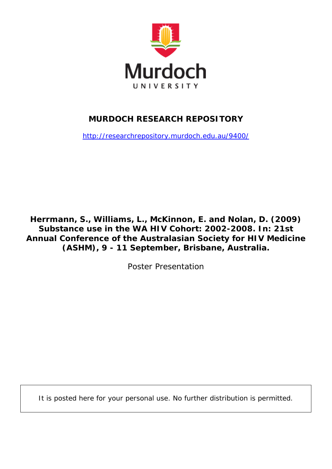

# **MURDOCH RESEARCH REPOSITORY**

<http://researchrepository.murdoch.edu.au/9400/>

**Herrmann, S., Williams, L., McKinnon, E. and Nolan, D. (2009)**  *Substance use in the WA HIV Cohort: 2002-2008.* **In: 21st Annual Conference of the Australasian Society for HIV Medicine (ASHM), 9 - 11 September, Brisbane, Australia.**

Poster Presentation

It is posted here for your personal use. No further distribution is permitted.